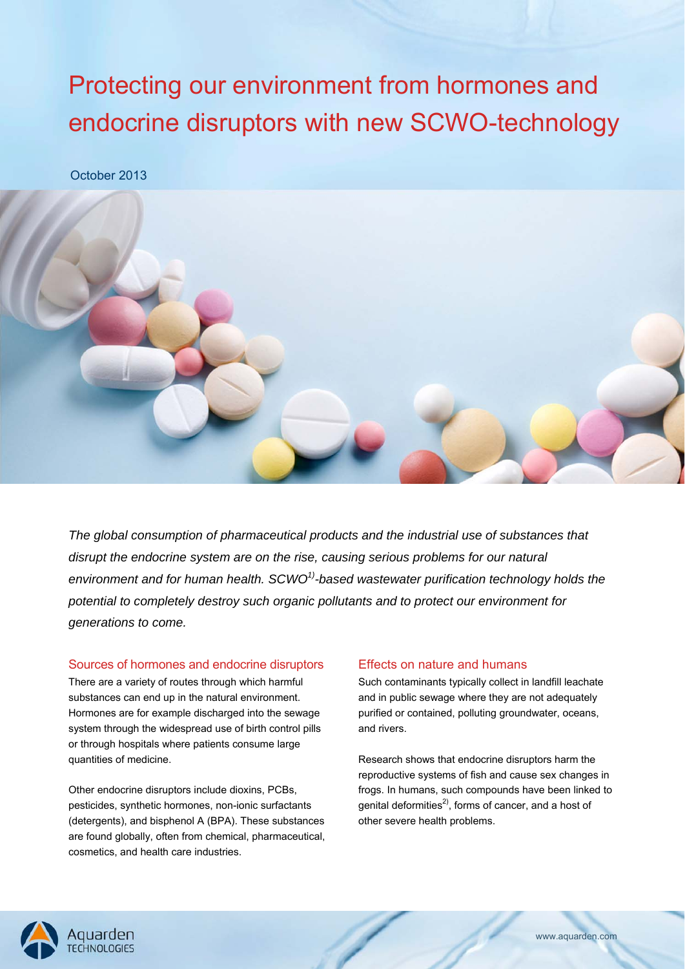# Protecting our environment from hormones and endocrine disruptors with new SCWO-technology

October 2013



*The global consumption of pharmaceutical products and the industrial use of substances that disrupt the endocrine system are on the rise, causing serious problems for our natural environment and for human health. SCWO1)-based wastewater purification technology holds the potential to completely destroy such organic pollutants and to protect our environment for generations to come.*

# Sources of hormones and endocrine disruptors

There are a variety of routes through which harmful substances can end up in the natural environment. Hormones are for example discharged into the sewage system through the widespread use of birth control pills or through hospitals where patients consume large quantities of medicine.

Other endocrine disruptors include dioxins, PCBs, pesticides, synthetic hormones, non-ionic surfactants (detergents), and bisphenol A (BPA). These substances are found globally, often from chemical, pharmaceutical, cosmetics, and health care industries.

# Effects on nature and humans

Such contaminants typically collect in landfill leachate and in public sewage where they are not adequately purified or contained, polluting groundwater, oceans, and rivers.

Research shows that endocrine disruptors harm the reproductive systems of fish and cause sex changes in frogs. In humans, such compounds have been linked to genital deformities<sup>2)</sup>, forms of cancer, and a host of other severe health problems.

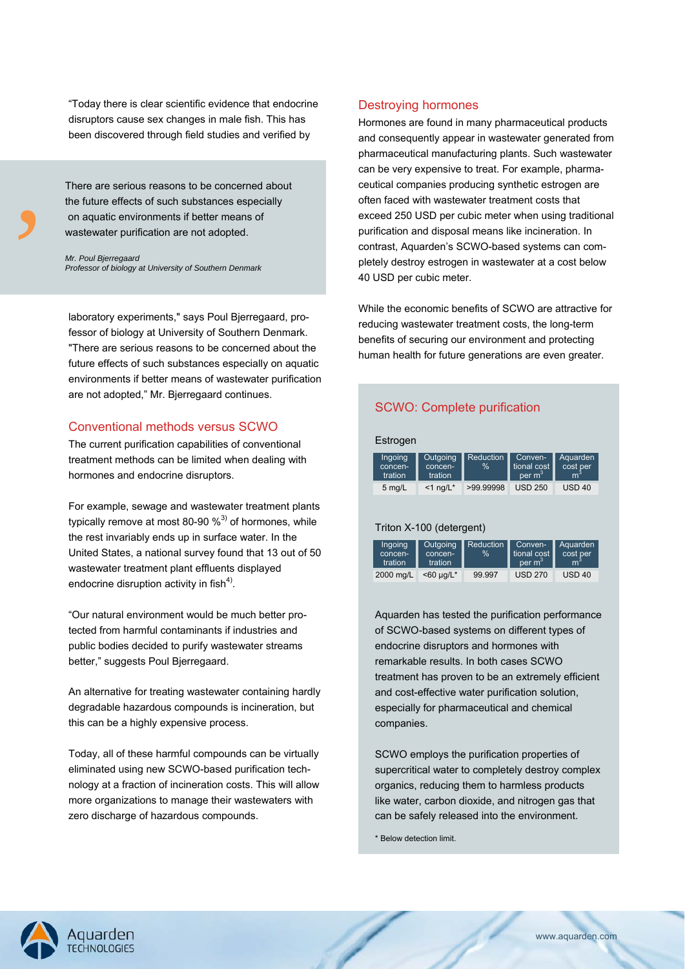"Today there is clear scientific evidence that endocrine disruptors cause sex changes in male fish. This has been discovered through field studies and verified by

the the contract of the contract of the contract of the contract of the contract of the contract of the contract of the contract of the contract of the contract of the contract of the contract of the contract of the contra There are serious reasons to be concerned about the future effects of such substances especially on aquatic environments if better means of wastewater purification are not adopted.

*Mr. Poul Bjerregaard Professor of biology at University of Southern Denmark* 

laboratory experiments," says Poul Bjerregaard, professor of biology at University of Southern Denmark. "There are serious reasons to be concerned about the future effects of such substances especially on aquatic environments if better means of wastewater purification are not adopted," Mr. Bjerregaard continues.

# Conventional methods versus SCWO

The current purification capabilities of conventional treatment methods can be limited when dealing with hormones and endocrine disruptors.

For example, sewage and wastewater treatment plants typically remove at most 80-90  $\%$ <sup>3)</sup> of hormones, while the rest invariably ends up in surface water. In the United States, a national survey found that 13 out of 50 wastewater treatment plant effluents displayed endocrine disruption activity in fish $4^4$ ).

"Our natural environment would be much better protected from harmful contaminants if industries and public bodies decided to purify wastewater streams better," suggests Poul Bjerregaard.

An alternative for treating wastewater containing hardly degradable hazardous compounds is incineration, but this can be a highly expensive process.

Today, all of these harmful compounds can be virtually eliminated using new SCWO-based purification technology at a fraction of incineration costs. This will allow more organizations to manage their wastewaters with zero discharge of hazardous compounds.

# Destroying hormones

Hormones are found in many pharmaceutical products and consequently appear in wastewater generated from pharmaceutical manufacturing plants. Such wastewater can be very expensive to treat. For example, pharmaceutical companies producing synthetic estrogen are often faced with wastewater treatment costs that exceed 250 USD per cubic meter when using traditional purification and disposal means like incineration. In contrast, Aquarden's SCWO-based systems can completely destroy estrogen in wastewater at a cost below 40 USD per cubic meter.

While the economic benefits of SCWO are attractive for reducing wastewater treatment costs, the long-term benefits of securing our environment and protecting human health for future generations are even greater.

# SCWO: Complete purification

| Estrogen                      |                                |                   |                                              |                               |
|-------------------------------|--------------------------------|-------------------|----------------------------------------------|-------------------------------|
| Ingoing<br>concen-<br>tration | Outgoing<br>concen-<br>tration | Reduction<br>$\%$ | Conven-<br>tional cost<br>per m <sup>3</sup> | Aquarden<br>cost per<br>$m^3$ |
| 5 $mg/L$                      | $<$ 1 ng/L*                    | >99.99998         | <b>USD 250</b>                               | $USD$ 40                      |

### Triton X-100 (detergent)

| Ingoing<br>concen-<br>tration | Outgoing<br>concen-<br>tration <sup>'</sup> | <b>Reduction</b><br>$\frac{1}{2}$ | Conven-<br>tional cost<br>per m <sup>3</sup> | Aquarden<br>cost per<br>m, |
|-------------------------------|---------------------------------------------|-----------------------------------|----------------------------------------------|----------------------------|
| 2000 mg/L                     | $<$ 60 µg/L*                                | 99.997                            | <b>USD 270</b>                               | $USD$ 40                   |

Aquarden has tested the purification performance of SCWO-based systems on different types of endocrine disruptors and hormones with remarkable results. In both cases SCWO treatment has proven to be an extremely efficient and cost-effective water purification solution, especially for pharmaceutical and chemical companies.

SCWO employs the purification properties of supercritical water to completely destroy complex organics, reducing them to harmless products like water, carbon dioxide, and nitrogen gas that can be safely released into the environment.

\* Below detection limit.